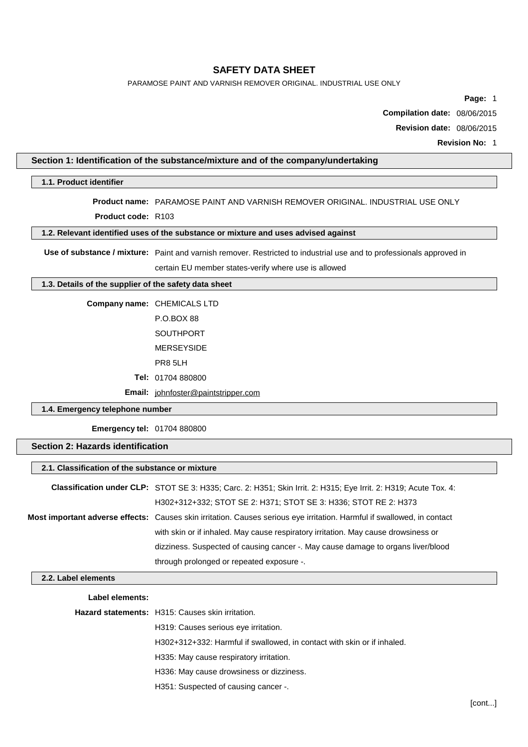PARAMOSE PAINT AND VARNISH REMOVER ORIGINAL. INDUSTRIAL USE ONLY

**Page:** 1

**Compilation date:** 08/06/2015

**Revision date:** 08/06/2015

**Revision No:** 1

### **Section 1: Identification of the substance/mixture and of the company/undertaking**

#### **1.1. Product identifier**

# **Product name:** PARAMOSE PAINT AND VARNISH REMOVER ORIGINAL. INDUSTRIAL USE ONLY

**Product code:** R103

## **1.2. Relevant identified uses of the substance or mixture and uses advised against**

**Use of substance / mixture:** Paint and varnish remover. Restricted to industrial use and to professionals approved in

certain EU member states-verify where use is allowed

### **1.3. Details of the supplier of the safety data sheet**

**Company name:** CHEMICALS LTD

- P.O.BOX 88
- SOUTHPORT

MERSEYSIDE

PR8 5LH

**Tel:** 01704 880800

**Email:** [johnfoster@paintstripper.com](mailto:johnfoster@paintstripper.com)

## **1.4. Emergency telephone number**

**Emergency tel:** 01704 880800

#### **Section 2: Hazards identification**

| 2.1. Classification of the substance or mixture |                                                                                                                         |  |  |
|-------------------------------------------------|-------------------------------------------------------------------------------------------------------------------------|--|--|
|                                                 | Classification under CLP: STOT SE 3: H335; Carc. 2: H351; Skin Irrit. 2: H315; Eye Irrit. 2: H319; Acute Tox. 4:        |  |  |
|                                                 | H302+312+332; STOT SE 2: H371; STOT SE 3: H336; STOT RE 2: H373                                                         |  |  |
|                                                 | Most important adverse effects: Causes skin irritation. Causes serious eye irritation. Harmful if swallowed, in contact |  |  |
|                                                 | with skin or if inhaled. May cause respiratory irritation. May cause drowsiness or                                      |  |  |
|                                                 | dizziness. Suspected of causing cancer -. May cause damage to organs liver/blood                                        |  |  |
|                                                 | through prolonged or repeated exposure -.                                                                               |  |  |
| 2.2. Label elements                             |                                                                                                                         |  |  |
| Label elements:                                 |                                                                                                                         |  |  |
|                                                 | Hazard statements: H315: Causes skin irritation.                                                                        |  |  |
|                                                 | H319: Causes serious eye irritation.                                                                                    |  |  |
|                                                 | H302+312+332: Harmful if swallowed, in contact with skin or if inhaled.                                                 |  |  |
|                                                 | H335: May cause respiratory irritation.                                                                                 |  |  |
|                                                 | H336: May cause drowsiness or dizziness.                                                                                |  |  |
|                                                 | H351: Suspected of causing cancer -.                                                                                    |  |  |
|                                                 |                                                                                                                         |  |  |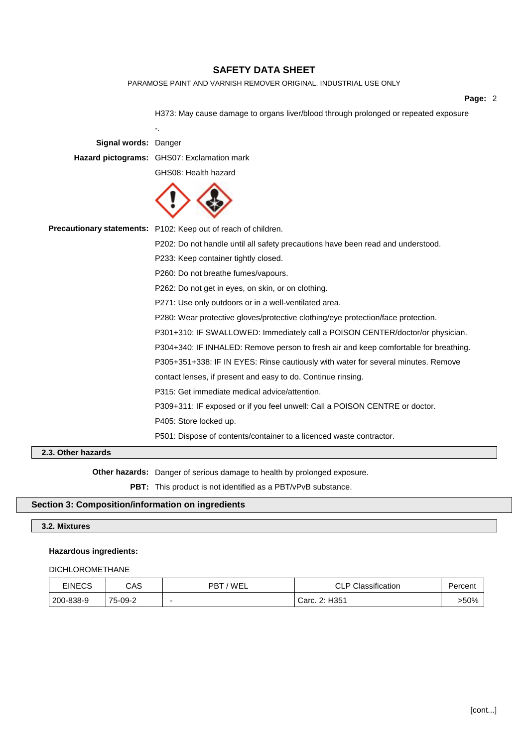PARAMOSE PAINT AND VARNISH REMOVER ORIGINAL. INDUSTRIAL USE ONLY

#### **Page:** 2

H373: May cause damage to organs liver/blood through prolonged or repeated exposure -. **Signal words:** Danger **Hazard pictograms:** GHS07: Exclamation mark GHS08: Health hazard **Precautionary statements:** P102: Keep out of reach of children. P202: Do not handle until all safety precautions have been read and understood. P233: Keep container tightly closed. P260: Do not breathe fumes/vapours. P262: Do not get in eyes, on skin, or on clothing. P271: Use only outdoors or in a well-ventilated area. P280: Wear protective gloves/protective clothing/eye protection/face protection. P301+310: IF SWALLOWED: Immediately call a POISON CENTER/doctor/or physician. P304+340: IF INHALED: Remove person to fresh air and keep comfortable for breathing. P305+351+338: IF IN EYES: Rinse cautiously with water for several minutes. Remove contact lenses, if present and easy to do. Continue rinsing. P315: Get immediate medical advice/attention. P309+311: IF exposed or if you feel unwell: Call a POISON CENTRE or doctor. P405: Store locked up. P501: Dispose of contents/container to a licenced waste contractor. **2.3. Other hazards**

**Other hazards:** Danger of serious damage to health by prolonged exposure.

**PBT:** This product is not identified as a PBT/vPvB substance.

#### **Section 3: Composition/information on ingredients**

#### **3.2. Mixtures**

#### **Hazardous ingredients:**

#### DICHLOROMETHANE

| <b>EINECS</b> | CAS     | PBT/WEL | <b>CLP Classification</b> | Percent |
|---------------|---------|---------|---------------------------|---------|
| 200-838-9     | 75-09-2 |         | Carc. 2: H351             | >50%    |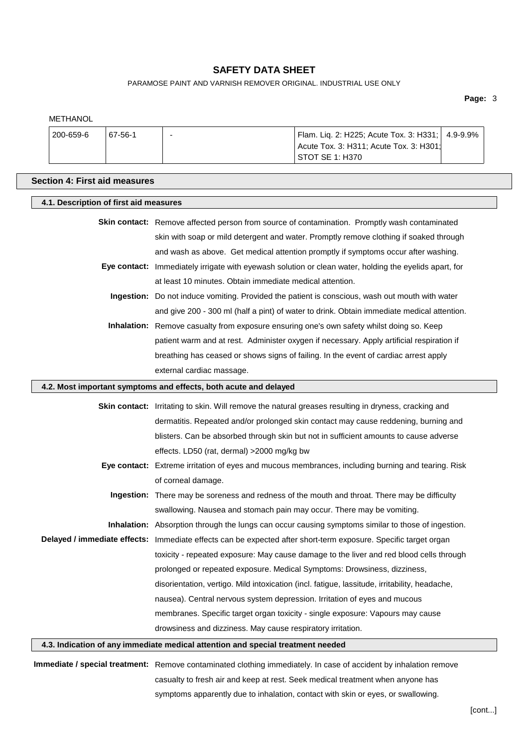PARAMOSE PAINT AND VARNISH REMOVER ORIGINAL. INDUSTRIAL USE ONLY

**Page:** 3

| <b>METHANOL</b> |                                        |                                                                  |                                                                                                                 |          |
|-----------------|----------------------------------------|------------------------------------------------------------------|-----------------------------------------------------------------------------------------------------------------|----------|
| 200-659-6       | 67-56-1                                |                                                                  | Flam. Liq. 2: H225; Acute Tox. 3: H331;<br>Acute Tox. 3: H311; Acute Tox. 3: H301;<br>STOT SE 1: H370           | 4.9-9.9% |
|                 | <b>Section 4: First aid measures</b>   |                                                                  |                                                                                                                 |          |
|                 | 4.1. Description of first aid measures |                                                                  |                                                                                                                 |          |
|                 |                                        |                                                                  | Skin contact: Remove affected person from source of contamination. Promptly wash contaminated                   |          |
|                 |                                        |                                                                  | skin with soap or mild detergent and water. Promptly remove clothing if soaked through                          |          |
|                 |                                        |                                                                  | and wash as above. Get medical attention promptly if symptoms occur after washing.                              |          |
|                 |                                        |                                                                  | Eye contact: Immediately irrigate with eyewash solution or clean water, holding the eyelids apart, for          |          |
|                 |                                        | at least 10 minutes. Obtain immediate medical attention.         |                                                                                                                 |          |
|                 |                                        |                                                                  | Ingestion: Do not induce vomiting. Provided the patient is conscious, wash out mouth with water                 |          |
|                 |                                        |                                                                  | and give 200 - 300 ml (half a pint) of water to drink. Obtain immediate medical attention.                      |          |
|                 |                                        |                                                                  | Inhalation: Remove casualty from exposure ensuring one's own safety whilst doing so. Keep                       |          |
|                 |                                        |                                                                  | patient warm and at rest. Administer oxygen if necessary. Apply artificial respiration if                       |          |
|                 |                                        |                                                                  | breathing has ceased or shows signs of failing. In the event of cardiac arrest apply                            |          |
|                 |                                        | external cardiac massage.                                        |                                                                                                                 |          |
|                 |                                        | 4.2. Most important symptoms and effects, both acute and delayed |                                                                                                                 |          |
|                 |                                        |                                                                  | Skin contact: Irritating to skin. Will remove the natural greases resulting in dryness, cracking and            |          |
|                 |                                        |                                                                  | dermatitis. Repeated and/or prolonged skin contact may cause reddening, burning and                             |          |
|                 |                                        |                                                                  | blisters. Can be absorbed through skin but not in sufficient amounts to cause adverse                           |          |
|                 |                                        | effects. LD50 (rat, dermal) >2000 mg/kg bw                       |                                                                                                                 |          |
|                 |                                        |                                                                  | Eye contact: Extreme irritation of eyes and mucous membrances, including burning and tearing. Risk              |          |
|                 |                                        | of corneal damage.                                               |                                                                                                                 |          |
|                 |                                        |                                                                  | Ingestion: There may be soreness and redness of the mouth and throat. There may be difficulty                   |          |
|                 |                                        |                                                                  |                                                                                                                 |          |
|                 |                                        |                                                                  | swallowing. Nausea and stomach pain may occur. There may be vomiting.                                           |          |
|                 |                                        |                                                                  | Inhalation: Absorption through the lungs can occur causing symptoms similar to those of ingestion.              |          |
|                 |                                        |                                                                  | Delayed / immediate effects: Immediate effects can be expected after short-term exposure. Specific target organ |          |
|                 |                                        |                                                                  | toxicity - repeated exposure: May cause damage to the liver and red blood cells through                         |          |
|                 |                                        |                                                                  | prolonged or repeated exposure. Medical Symptoms: Drowsiness, dizziness,                                        |          |
|                 |                                        |                                                                  | disorientation, vertigo. Mild intoxication (incl. fatigue, lassitude, irritability, headache,                   |          |
|                 |                                        |                                                                  | nausea). Central nervous system depression. Irritation of eyes and mucous                                       |          |
|                 |                                        |                                                                  | membranes. Specific target organ toxicity - single exposure: Vapours may cause                                  |          |
|                 |                                        | drowsiness and dizziness. May cause respiratory irritation.      |                                                                                                                 |          |

**Immediate / special treatment:** Remove contaminated clothing immediately. In case of accident by inhalation remove casualty to fresh air and keep at rest. Seek medical treatment when anyone has symptoms apparently due to inhalation, contact with skin or eyes, or swallowing.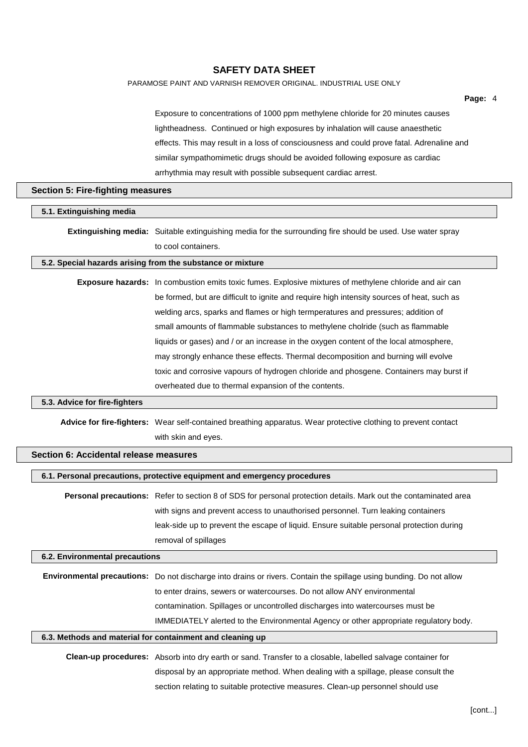PARAMOSE PAINT AND VARNISH REMOVER ORIGINAL. INDUSTRIAL USE ONLY

| lightheadness. Continued or high exposures by inhalation will cause anaesthetic<br>effects. This may result in a loss of consciousness and could prove fatal. Adrenaline and<br>similar sympathomimetic drugs should be avoided following exposure as cardiac<br>arrhythmia may result with possible subsequent cardiac arrest.<br><b>Section 5: Fire-fighting measures</b><br>Extinguishing media: Suitable extinguishing media for the surrounding fire should be used. Use water spray<br>to cool containers.<br>5.2. Special hazards arising from the substance or mixture<br>Exposure hazards: In combustion emits toxic fumes. Explosive mixtures of methylene chloride and air can<br>be formed, but are difficult to ignite and require high intensity sources of heat, such as<br>welding arcs, sparks and flames or high termperatures and pressures; addition of<br>small amounts of flammable substances to methylene cholride (such as flammable<br>liquids or gases) and / or an increase in the oxygen content of the local atmosphere,<br>may strongly enhance these effects. Thermal decomposition and burning will evolve<br>toxic and corrosive vapours of hydrogen chloride and phosgene. Containers may burst if<br>overheated due to thermal expansion of the contents.<br>Advice for fire-fighters: Wear self-contained breathing apparatus. Wear protective clothing to prevent contact<br>with skin and eyes.<br>Section 6: Accidental release measures<br>6.1. Personal precautions, protective equipment and emergency procedures<br>Personal precautions: Refer to section 8 of SDS for personal protection details. Mark out the contaminated area<br>with signs and prevent access to unauthorised personnel. Turn leaking containers<br>leak-side up to prevent the escape of liquid. Ensure suitable personal protection during<br>removal of spillages<br>6.2. Environmental precautions<br>Environmental precautions: Do not discharge into drains or rivers. Contain the spillage using bunding. Do not allow<br>to enter drains, sewers or watercourses. Do not allow ANY environmental<br>contamination. Spillages or uncontrolled discharges into watercourses must be<br>IMMEDIATELY alerted to the Environmental Agency or other appropriate regulatory body.<br>6.3. Methods and material for containment and cleaning up<br>Clean-up procedures: Absorb into dry earth or sand. Transfer to a closable, labelled salvage container for<br>disposal by an appropriate method. When dealing with a spillage, please consult the<br>section relating to suitable protective measures. Clean-up personnel should use |                               | Exposure to concentrations of 1000 ppm methylene chloride for 20 minutes causes |  |
|------------------------------------------------------------------------------------------------------------------------------------------------------------------------------------------------------------------------------------------------------------------------------------------------------------------------------------------------------------------------------------------------------------------------------------------------------------------------------------------------------------------------------------------------------------------------------------------------------------------------------------------------------------------------------------------------------------------------------------------------------------------------------------------------------------------------------------------------------------------------------------------------------------------------------------------------------------------------------------------------------------------------------------------------------------------------------------------------------------------------------------------------------------------------------------------------------------------------------------------------------------------------------------------------------------------------------------------------------------------------------------------------------------------------------------------------------------------------------------------------------------------------------------------------------------------------------------------------------------------------------------------------------------------------------------------------------------------------------------------------------------------------------------------------------------------------------------------------------------------------------------------------------------------------------------------------------------------------------------------------------------------------------------------------------------------------------------------------------------------------------------------------------------------------------------------------------------------------------------------------------------------------------------------------------------------------------------------------------------------------------------------------------------------------------------------------------------------------------------------------------------------------------------------------------------------------------------------------------------------------------------------------------------|-------------------------------|---------------------------------------------------------------------------------|--|
|                                                                                                                                                                                                                                                                                                                                                                                                                                                                                                                                                                                                                                                                                                                                                                                                                                                                                                                                                                                                                                                                                                                                                                                                                                                                                                                                                                                                                                                                                                                                                                                                                                                                                                                                                                                                                                                                                                                                                                                                                                                                                                                                                                                                                                                                                                                                                                                                                                                                                                                                                                                                                                                            |                               |                                                                                 |  |
|                                                                                                                                                                                                                                                                                                                                                                                                                                                                                                                                                                                                                                                                                                                                                                                                                                                                                                                                                                                                                                                                                                                                                                                                                                                                                                                                                                                                                                                                                                                                                                                                                                                                                                                                                                                                                                                                                                                                                                                                                                                                                                                                                                                                                                                                                                                                                                                                                                                                                                                                                                                                                                                            |                               |                                                                                 |  |
|                                                                                                                                                                                                                                                                                                                                                                                                                                                                                                                                                                                                                                                                                                                                                                                                                                                                                                                                                                                                                                                                                                                                                                                                                                                                                                                                                                                                                                                                                                                                                                                                                                                                                                                                                                                                                                                                                                                                                                                                                                                                                                                                                                                                                                                                                                                                                                                                                                                                                                                                                                                                                                                            |                               |                                                                                 |  |
|                                                                                                                                                                                                                                                                                                                                                                                                                                                                                                                                                                                                                                                                                                                                                                                                                                                                                                                                                                                                                                                                                                                                                                                                                                                                                                                                                                                                                                                                                                                                                                                                                                                                                                                                                                                                                                                                                                                                                                                                                                                                                                                                                                                                                                                                                                                                                                                                                                                                                                                                                                                                                                                            |                               |                                                                                 |  |
|                                                                                                                                                                                                                                                                                                                                                                                                                                                                                                                                                                                                                                                                                                                                                                                                                                                                                                                                                                                                                                                                                                                                                                                                                                                                                                                                                                                                                                                                                                                                                                                                                                                                                                                                                                                                                                                                                                                                                                                                                                                                                                                                                                                                                                                                                                                                                                                                                                                                                                                                                                                                                                                            |                               |                                                                                 |  |
|                                                                                                                                                                                                                                                                                                                                                                                                                                                                                                                                                                                                                                                                                                                                                                                                                                                                                                                                                                                                                                                                                                                                                                                                                                                                                                                                                                                                                                                                                                                                                                                                                                                                                                                                                                                                                                                                                                                                                                                                                                                                                                                                                                                                                                                                                                                                                                                                                                                                                                                                                                                                                                                            | 5.1. Extinguishing media      |                                                                                 |  |
|                                                                                                                                                                                                                                                                                                                                                                                                                                                                                                                                                                                                                                                                                                                                                                                                                                                                                                                                                                                                                                                                                                                                                                                                                                                                                                                                                                                                                                                                                                                                                                                                                                                                                                                                                                                                                                                                                                                                                                                                                                                                                                                                                                                                                                                                                                                                                                                                                                                                                                                                                                                                                                                            |                               |                                                                                 |  |
|                                                                                                                                                                                                                                                                                                                                                                                                                                                                                                                                                                                                                                                                                                                                                                                                                                                                                                                                                                                                                                                                                                                                                                                                                                                                                                                                                                                                                                                                                                                                                                                                                                                                                                                                                                                                                                                                                                                                                                                                                                                                                                                                                                                                                                                                                                                                                                                                                                                                                                                                                                                                                                                            |                               |                                                                                 |  |
|                                                                                                                                                                                                                                                                                                                                                                                                                                                                                                                                                                                                                                                                                                                                                                                                                                                                                                                                                                                                                                                                                                                                                                                                                                                                                                                                                                                                                                                                                                                                                                                                                                                                                                                                                                                                                                                                                                                                                                                                                                                                                                                                                                                                                                                                                                                                                                                                                                                                                                                                                                                                                                                            |                               |                                                                                 |  |
|                                                                                                                                                                                                                                                                                                                                                                                                                                                                                                                                                                                                                                                                                                                                                                                                                                                                                                                                                                                                                                                                                                                                                                                                                                                                                                                                                                                                                                                                                                                                                                                                                                                                                                                                                                                                                                                                                                                                                                                                                                                                                                                                                                                                                                                                                                                                                                                                                                                                                                                                                                                                                                                            |                               |                                                                                 |  |
|                                                                                                                                                                                                                                                                                                                                                                                                                                                                                                                                                                                                                                                                                                                                                                                                                                                                                                                                                                                                                                                                                                                                                                                                                                                                                                                                                                                                                                                                                                                                                                                                                                                                                                                                                                                                                                                                                                                                                                                                                                                                                                                                                                                                                                                                                                                                                                                                                                                                                                                                                                                                                                                            |                               |                                                                                 |  |
|                                                                                                                                                                                                                                                                                                                                                                                                                                                                                                                                                                                                                                                                                                                                                                                                                                                                                                                                                                                                                                                                                                                                                                                                                                                                                                                                                                                                                                                                                                                                                                                                                                                                                                                                                                                                                                                                                                                                                                                                                                                                                                                                                                                                                                                                                                                                                                                                                                                                                                                                                                                                                                                            |                               |                                                                                 |  |
|                                                                                                                                                                                                                                                                                                                                                                                                                                                                                                                                                                                                                                                                                                                                                                                                                                                                                                                                                                                                                                                                                                                                                                                                                                                                                                                                                                                                                                                                                                                                                                                                                                                                                                                                                                                                                                                                                                                                                                                                                                                                                                                                                                                                                                                                                                                                                                                                                                                                                                                                                                                                                                                            |                               |                                                                                 |  |
|                                                                                                                                                                                                                                                                                                                                                                                                                                                                                                                                                                                                                                                                                                                                                                                                                                                                                                                                                                                                                                                                                                                                                                                                                                                                                                                                                                                                                                                                                                                                                                                                                                                                                                                                                                                                                                                                                                                                                                                                                                                                                                                                                                                                                                                                                                                                                                                                                                                                                                                                                                                                                                                            |                               |                                                                                 |  |
|                                                                                                                                                                                                                                                                                                                                                                                                                                                                                                                                                                                                                                                                                                                                                                                                                                                                                                                                                                                                                                                                                                                                                                                                                                                                                                                                                                                                                                                                                                                                                                                                                                                                                                                                                                                                                                                                                                                                                                                                                                                                                                                                                                                                                                                                                                                                                                                                                                                                                                                                                                                                                                                            |                               |                                                                                 |  |
|                                                                                                                                                                                                                                                                                                                                                                                                                                                                                                                                                                                                                                                                                                                                                                                                                                                                                                                                                                                                                                                                                                                                                                                                                                                                                                                                                                                                                                                                                                                                                                                                                                                                                                                                                                                                                                                                                                                                                                                                                                                                                                                                                                                                                                                                                                                                                                                                                                                                                                                                                                                                                                                            |                               |                                                                                 |  |
|                                                                                                                                                                                                                                                                                                                                                                                                                                                                                                                                                                                                                                                                                                                                                                                                                                                                                                                                                                                                                                                                                                                                                                                                                                                                                                                                                                                                                                                                                                                                                                                                                                                                                                                                                                                                                                                                                                                                                                                                                                                                                                                                                                                                                                                                                                                                                                                                                                                                                                                                                                                                                                                            |                               |                                                                                 |  |
|                                                                                                                                                                                                                                                                                                                                                                                                                                                                                                                                                                                                                                                                                                                                                                                                                                                                                                                                                                                                                                                                                                                                                                                                                                                                                                                                                                                                                                                                                                                                                                                                                                                                                                                                                                                                                                                                                                                                                                                                                                                                                                                                                                                                                                                                                                                                                                                                                                                                                                                                                                                                                                                            | 5.3. Advice for fire-fighters |                                                                                 |  |
|                                                                                                                                                                                                                                                                                                                                                                                                                                                                                                                                                                                                                                                                                                                                                                                                                                                                                                                                                                                                                                                                                                                                                                                                                                                                                                                                                                                                                                                                                                                                                                                                                                                                                                                                                                                                                                                                                                                                                                                                                                                                                                                                                                                                                                                                                                                                                                                                                                                                                                                                                                                                                                                            |                               |                                                                                 |  |
|                                                                                                                                                                                                                                                                                                                                                                                                                                                                                                                                                                                                                                                                                                                                                                                                                                                                                                                                                                                                                                                                                                                                                                                                                                                                                                                                                                                                                                                                                                                                                                                                                                                                                                                                                                                                                                                                                                                                                                                                                                                                                                                                                                                                                                                                                                                                                                                                                                                                                                                                                                                                                                                            |                               |                                                                                 |  |
|                                                                                                                                                                                                                                                                                                                                                                                                                                                                                                                                                                                                                                                                                                                                                                                                                                                                                                                                                                                                                                                                                                                                                                                                                                                                                                                                                                                                                                                                                                                                                                                                                                                                                                                                                                                                                                                                                                                                                                                                                                                                                                                                                                                                                                                                                                                                                                                                                                                                                                                                                                                                                                                            |                               |                                                                                 |  |
|                                                                                                                                                                                                                                                                                                                                                                                                                                                                                                                                                                                                                                                                                                                                                                                                                                                                                                                                                                                                                                                                                                                                                                                                                                                                                                                                                                                                                                                                                                                                                                                                                                                                                                                                                                                                                                                                                                                                                                                                                                                                                                                                                                                                                                                                                                                                                                                                                                                                                                                                                                                                                                                            |                               |                                                                                 |  |
|                                                                                                                                                                                                                                                                                                                                                                                                                                                                                                                                                                                                                                                                                                                                                                                                                                                                                                                                                                                                                                                                                                                                                                                                                                                                                                                                                                                                                                                                                                                                                                                                                                                                                                                                                                                                                                                                                                                                                                                                                                                                                                                                                                                                                                                                                                                                                                                                                                                                                                                                                                                                                                                            |                               |                                                                                 |  |
|                                                                                                                                                                                                                                                                                                                                                                                                                                                                                                                                                                                                                                                                                                                                                                                                                                                                                                                                                                                                                                                                                                                                                                                                                                                                                                                                                                                                                                                                                                                                                                                                                                                                                                                                                                                                                                                                                                                                                                                                                                                                                                                                                                                                                                                                                                                                                                                                                                                                                                                                                                                                                                                            |                               |                                                                                 |  |
|                                                                                                                                                                                                                                                                                                                                                                                                                                                                                                                                                                                                                                                                                                                                                                                                                                                                                                                                                                                                                                                                                                                                                                                                                                                                                                                                                                                                                                                                                                                                                                                                                                                                                                                                                                                                                                                                                                                                                                                                                                                                                                                                                                                                                                                                                                                                                                                                                                                                                                                                                                                                                                                            |                               |                                                                                 |  |
|                                                                                                                                                                                                                                                                                                                                                                                                                                                                                                                                                                                                                                                                                                                                                                                                                                                                                                                                                                                                                                                                                                                                                                                                                                                                                                                                                                                                                                                                                                                                                                                                                                                                                                                                                                                                                                                                                                                                                                                                                                                                                                                                                                                                                                                                                                                                                                                                                                                                                                                                                                                                                                                            |                               |                                                                                 |  |
|                                                                                                                                                                                                                                                                                                                                                                                                                                                                                                                                                                                                                                                                                                                                                                                                                                                                                                                                                                                                                                                                                                                                                                                                                                                                                                                                                                                                                                                                                                                                                                                                                                                                                                                                                                                                                                                                                                                                                                                                                                                                                                                                                                                                                                                                                                                                                                                                                                                                                                                                                                                                                                                            |                               |                                                                                 |  |
|                                                                                                                                                                                                                                                                                                                                                                                                                                                                                                                                                                                                                                                                                                                                                                                                                                                                                                                                                                                                                                                                                                                                                                                                                                                                                                                                                                                                                                                                                                                                                                                                                                                                                                                                                                                                                                                                                                                                                                                                                                                                                                                                                                                                                                                                                                                                                                                                                                                                                                                                                                                                                                                            |                               |                                                                                 |  |
|                                                                                                                                                                                                                                                                                                                                                                                                                                                                                                                                                                                                                                                                                                                                                                                                                                                                                                                                                                                                                                                                                                                                                                                                                                                                                                                                                                                                                                                                                                                                                                                                                                                                                                                                                                                                                                                                                                                                                                                                                                                                                                                                                                                                                                                                                                                                                                                                                                                                                                                                                                                                                                                            |                               |                                                                                 |  |
|                                                                                                                                                                                                                                                                                                                                                                                                                                                                                                                                                                                                                                                                                                                                                                                                                                                                                                                                                                                                                                                                                                                                                                                                                                                                                                                                                                                                                                                                                                                                                                                                                                                                                                                                                                                                                                                                                                                                                                                                                                                                                                                                                                                                                                                                                                                                                                                                                                                                                                                                                                                                                                                            |                               |                                                                                 |  |
|                                                                                                                                                                                                                                                                                                                                                                                                                                                                                                                                                                                                                                                                                                                                                                                                                                                                                                                                                                                                                                                                                                                                                                                                                                                                                                                                                                                                                                                                                                                                                                                                                                                                                                                                                                                                                                                                                                                                                                                                                                                                                                                                                                                                                                                                                                                                                                                                                                                                                                                                                                                                                                                            |                               |                                                                                 |  |
|                                                                                                                                                                                                                                                                                                                                                                                                                                                                                                                                                                                                                                                                                                                                                                                                                                                                                                                                                                                                                                                                                                                                                                                                                                                                                                                                                                                                                                                                                                                                                                                                                                                                                                                                                                                                                                                                                                                                                                                                                                                                                                                                                                                                                                                                                                                                                                                                                                                                                                                                                                                                                                                            |                               |                                                                                 |  |
|                                                                                                                                                                                                                                                                                                                                                                                                                                                                                                                                                                                                                                                                                                                                                                                                                                                                                                                                                                                                                                                                                                                                                                                                                                                                                                                                                                                                                                                                                                                                                                                                                                                                                                                                                                                                                                                                                                                                                                                                                                                                                                                                                                                                                                                                                                                                                                                                                                                                                                                                                                                                                                                            |                               |                                                                                 |  |
|                                                                                                                                                                                                                                                                                                                                                                                                                                                                                                                                                                                                                                                                                                                                                                                                                                                                                                                                                                                                                                                                                                                                                                                                                                                                                                                                                                                                                                                                                                                                                                                                                                                                                                                                                                                                                                                                                                                                                                                                                                                                                                                                                                                                                                                                                                                                                                                                                                                                                                                                                                                                                                                            |                               |                                                                                 |  |
|                                                                                                                                                                                                                                                                                                                                                                                                                                                                                                                                                                                                                                                                                                                                                                                                                                                                                                                                                                                                                                                                                                                                                                                                                                                                                                                                                                                                                                                                                                                                                                                                                                                                                                                                                                                                                                                                                                                                                                                                                                                                                                                                                                                                                                                                                                                                                                                                                                                                                                                                                                                                                                                            |                               |                                                                                 |  |
|                                                                                                                                                                                                                                                                                                                                                                                                                                                                                                                                                                                                                                                                                                                                                                                                                                                                                                                                                                                                                                                                                                                                                                                                                                                                                                                                                                                                                                                                                                                                                                                                                                                                                                                                                                                                                                                                                                                                                                                                                                                                                                                                                                                                                                                                                                                                                                                                                                                                                                                                                                                                                                                            |                               |                                                                                 |  |

**Page:** 4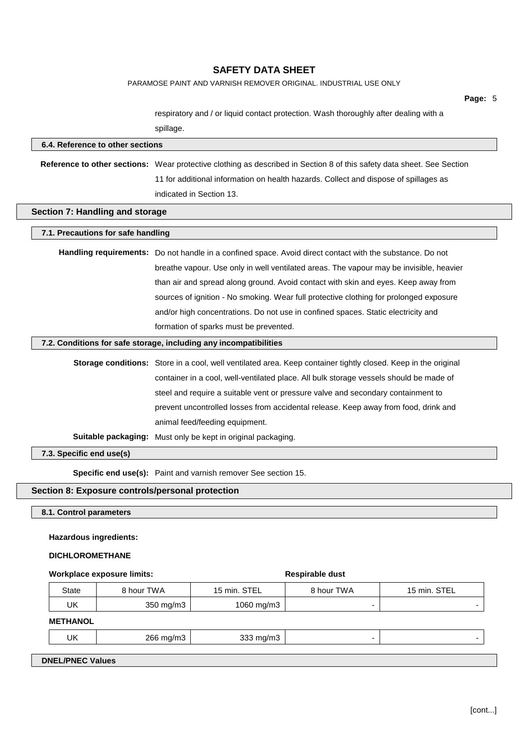PARAMOSE PAINT AND VARNISH REMOVER ORIGINAL. INDUSTRIAL USE ONLY

**Page:** 5

respiratory and / or liquid contact protection. Wash thoroughly after dealing with a spillage.

| 6.4. Reference to other sections                                                                                                                                                                                                                                                                                                                                                                                                                                                                                                                                                    |                         |                                                                                                                                                                                                                                                                                                                                                                                      |                 |              |  |  |
|-------------------------------------------------------------------------------------------------------------------------------------------------------------------------------------------------------------------------------------------------------------------------------------------------------------------------------------------------------------------------------------------------------------------------------------------------------------------------------------------------------------------------------------------------------------------------------------|-------------------------|--------------------------------------------------------------------------------------------------------------------------------------------------------------------------------------------------------------------------------------------------------------------------------------------------------------------------------------------------------------------------------------|-----------------|--------------|--|--|
|                                                                                                                                                                                                                                                                                                                                                                                                                                                                                                                                                                                     |                         | Reference to other sections: Wear protective clothing as described in Section 8 of this safety data sheet. See Section<br>11 for additional information on health hazards. Collect and dispose of spillages as<br>indicated in Section 13.                                                                                                                                           |                 |              |  |  |
| Section 7: Handling and storage                                                                                                                                                                                                                                                                                                                                                                                                                                                                                                                                                     |                         |                                                                                                                                                                                                                                                                                                                                                                                      |                 |              |  |  |
| 7.1. Precautions for safe handling                                                                                                                                                                                                                                                                                                                                                                                                                                                                                                                                                  |                         |                                                                                                                                                                                                                                                                                                                                                                                      |                 |              |  |  |
|                                                                                                                                                                                                                                                                                                                                                                                                                                                                                                                                                                                     |                         | Handling requirements: Do not handle in a confined space. Avoid direct contact with the substance. Do not<br>breathe vapour. Use only in well ventilated areas. The vapour may be invisible, heavier<br>than air and spread along ground. Avoid contact with skin and eyes. Keep away from<br>sources of ignition - No smoking. Wear full protective clothing for prolonged exposure |                 |              |  |  |
|                                                                                                                                                                                                                                                                                                                                                                                                                                                                                                                                                                                     |                         | and/or high concentrations. Do not use in confined spaces. Static electricity and                                                                                                                                                                                                                                                                                                    |                 |              |  |  |
|                                                                                                                                                                                                                                                                                                                                                                                                                                                                                                                                                                                     |                         | formation of sparks must be prevented.<br>7.2. Conditions for safe storage, including any incompatibilities                                                                                                                                                                                                                                                                          |                 |              |  |  |
| Storage conditions: Store in a cool, well ventilated area. Keep container tightly closed. Keep in the original<br>container in a cool, well-ventilated place. All bulk storage vessels should be made of<br>steel and require a suitable vent or pressure valve and secondary containment to<br>prevent uncontrolled losses from accidental release. Keep away from food, drink and<br>animal feed/feeding equipment.<br>Suitable packaging: Must only be kept in original packaging.<br>7.3. Specific end use(s)<br>Specific end use(s): Paint and varnish remover See section 15. |                         |                                                                                                                                                                                                                                                                                                                                                                                      |                 |              |  |  |
| Section 8: Exposure controls/personal protection                                                                                                                                                                                                                                                                                                                                                                                                                                                                                                                                    |                         |                                                                                                                                                                                                                                                                                                                                                                                      |                 |              |  |  |
| 8.1. Control parameters                                                                                                                                                                                                                                                                                                                                                                                                                                                                                                                                                             |                         |                                                                                                                                                                                                                                                                                                                                                                                      |                 |              |  |  |
| <b>Hazardous ingredients:</b>                                                                                                                                                                                                                                                                                                                                                                                                                                                                                                                                                       |                         |                                                                                                                                                                                                                                                                                                                                                                                      |                 |              |  |  |
| <b>DICHLOROMETHANE</b>                                                                                                                                                                                                                                                                                                                                                                                                                                                                                                                                                              |                         |                                                                                                                                                                                                                                                                                                                                                                                      |                 |              |  |  |
| <b>Workplace exposure limits:</b>                                                                                                                                                                                                                                                                                                                                                                                                                                                                                                                                                   |                         |                                                                                                                                                                                                                                                                                                                                                                                      | Respirable dust |              |  |  |
| <b>State</b><br>UK                                                                                                                                                                                                                                                                                                                                                                                                                                                                                                                                                                  | 8 hour TWA<br>350 mg/m3 | 15 min. STEL<br>1060 mg/m3                                                                                                                                                                                                                                                                                                                                                           | 8 hour TWA      | 15 min. STEL |  |  |
| <b>METHANOL</b>                                                                                                                                                                                                                                                                                                                                                                                                                                                                                                                                                                     |                         |                                                                                                                                                                                                                                                                                                                                                                                      |                 |              |  |  |
| UK                                                                                                                                                                                                                                                                                                                                                                                                                                                                                                                                                                                  | 266 mg/m3               | 333 mg/m3                                                                                                                                                                                                                                                                                                                                                                            |                 |              |  |  |

**DNEL/PNEC Values**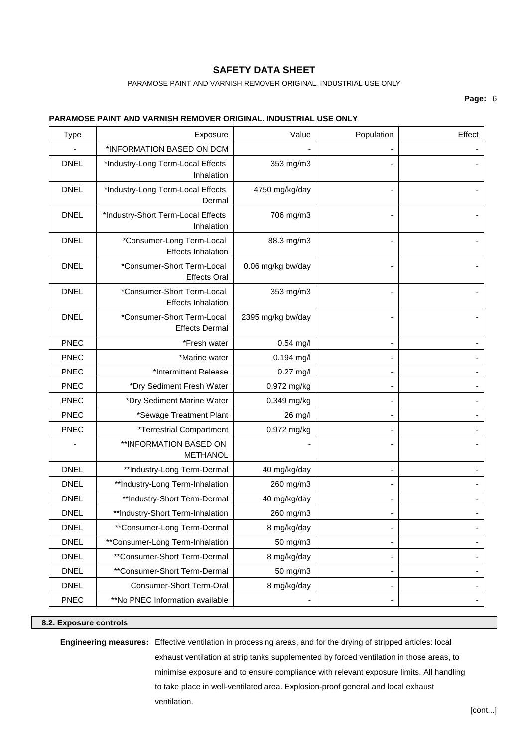PARAMOSE PAINT AND VARNISH REMOVER ORIGINAL. INDUSTRIAL USE ONLY

### **Page:** 6

### **PARAMOSE PAINT AND VARNISH REMOVER ORIGINAL. INDUSTRIAL USE ONLY**

| <b>Type</b> | Exposure                                                | Value             | Population | Effect                   |
|-------------|---------------------------------------------------------|-------------------|------------|--------------------------|
|             | *INFORMATION BASED ON DCM                               |                   |            |                          |
| <b>DNEL</b> | *Industry-Long Term-Local Effects<br>Inhalation         | 353 mg/m3         |            |                          |
| <b>DNEL</b> | *Industry-Long Term-Local Effects<br>Dermal             | 4750 mg/kg/day    |            |                          |
| <b>DNEL</b> | *Industry-Short Term-Local Effects<br>Inhalation        | 706 mg/m3         |            |                          |
| <b>DNEL</b> | *Consumer-Long Term-Local<br><b>Effects Inhalation</b>  | 88.3 mg/m3        |            |                          |
| <b>DNEL</b> | *Consumer-Short Term-Local<br><b>Effects Oral</b>       | 0.06 mg/kg bw/day |            |                          |
| <b>DNEL</b> | *Consumer-Short Term-Local<br><b>Effects Inhalation</b> | 353 mg/m3         |            |                          |
| <b>DNEL</b> | *Consumer-Short Term-Local<br><b>Effects Dermal</b>     | 2395 mg/kg bw/day |            |                          |
| <b>PNEC</b> | *Fresh water                                            | $0.54$ mg/l       |            |                          |
| <b>PNEC</b> | *Marine water                                           | $0.194$ mg/l      |            |                          |
| <b>PNEC</b> | *Intermittent Release                                   | $0.27$ mg/l       |            |                          |
| <b>PNEC</b> | *Dry Sediment Fresh Water                               | 0.972 mg/kg       |            | $\overline{\phantom{a}}$ |
| <b>PNEC</b> | *Dry Sediment Marine Water                              | 0.349 mg/kg       |            |                          |
| <b>PNEC</b> | *Sewage Treatment Plant                                 | 26 mg/l           |            |                          |
| <b>PNEC</b> | <i><b>*Terrestrial Compartment</b></i>                  | 0.972 mg/kg       |            |                          |
|             | **INFORMATION BASED ON<br><b>METHANOL</b>               |                   |            |                          |
| <b>DNEL</b> | **Industry-Long Term-Dermal                             | 40 mg/kg/day      |            |                          |
| <b>DNEL</b> | **Industry-Long Term-Inhalation                         | 260 mg/m3         |            |                          |
| <b>DNEL</b> | **Industry-Short Term-Dermal                            | 40 mg/kg/day      |            |                          |
| <b>DNEL</b> | **Industry-Short Term-Inhalation                        | 260 mg/m3         |            |                          |
| <b>DNEL</b> | **Consumer-Long Term-Dermal                             | 8 mg/kg/day       |            |                          |
| <b>DNEL</b> | **Consumer-Long Term-Inhalation                         | 50 mg/m3          |            |                          |
| <b>DNEL</b> | **Consumer-Short Term-Dermal                            | 8 mg/kg/day       |            |                          |
| <b>DNEL</b> | **Consumer-Short Term-Dermal                            | 50 mg/m3          |            |                          |
| <b>DNEL</b> | Consumer-Short Term-Oral                                | 8 mg/kg/day       |            |                          |
| <b>PNEC</b> | **No PNEC Information available                         |                   |            |                          |

#### **8.2. Exposure controls**

**Engineering measures:** Effective ventilation in processing areas, and for the drying of stripped articles: local exhaust ventilation at strip tanks supplemented by forced ventilation in those areas, to minimise exposure and to ensure compliance with relevant exposure limits. All handling to take place in well-ventilated area. Explosion-proof general and local exhaust ventilation.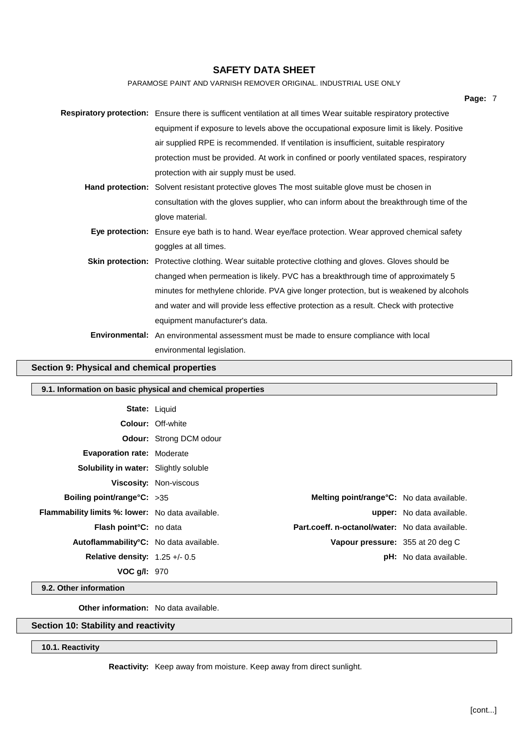PARAMOSE PAINT AND VARNISH REMOVER ORIGINAL. INDUSTRIAL USE ONLY

| Page: 7                                                                                                         |  |
|-----------------------------------------------------------------------------------------------------------------|--|
| Respiratory protection: Ensure there is sufficent ventilation at all times Wear suitable respiratory protective |  |
| equipment if exposure to levels above the occupational exposure limit is likely. Positive                       |  |
| air supplied RPE is recommended. If ventilation is insufficient, suitable respiratory                           |  |
| protection must be provided. At work in confined or poorly ventilated spaces, respiratory                       |  |
| protection with air supply must be used.                                                                        |  |
| Hand protection: Solvent resistant protective gloves The most suitable glove must be chosen in                  |  |
| consultation with the gloves supplier, who can inform about the breakthrough time of the                        |  |
| glove material.                                                                                                 |  |
| Eye protection: Ensure eye bath is to hand. Wear eye/face protection. Wear approved chemical safety             |  |
| goggles at all times.                                                                                           |  |
| <b>Skin protection:</b> Protective clothing. Wear suitable protective clothing and gloves. Gloves should be     |  |
| changed when permeation is likely. PVC has a breakthrough time of approximately 5                               |  |
| minutes for methylene chloride. PVA give longer protection, but is weakened by alcohols                         |  |
| and water and will provide less effective protection as a result. Check with protective                         |  |
| equipment manufacturer's data.                                                                                  |  |
| Environmental: An environmental assessment must be made to ensure compliance with local                         |  |
| environmental legislation.                                                                                      |  |

## **Section 9: Physical and chemical properties**

| 9.1. Information on basic physical and chemical properties |                                |                                                  |                                  |  |
|------------------------------------------------------------|--------------------------------|--------------------------------------------------|----------------------------------|--|
|                                                            | <b>State: Liquid</b>           |                                                  |                                  |  |
|                                                            | <b>Colour: Off-white</b>       |                                                  |                                  |  |
|                                                            | <b>Odour:</b> Strong DCM odour |                                                  |                                  |  |
| <b>Evaporation rate: Moderate</b>                          |                                |                                                  |                                  |  |
| <b>Solubility in water:</b> Slightly soluble               |                                |                                                  |                                  |  |
|                                                            | <b>Viscosity: Non-viscous</b>  |                                                  |                                  |  |
| <b>Boiling point/range °C:</b> $>35$                       |                                | <b>Melting point/range°C:</b> No data available. |                                  |  |
| <b>Flammability limits %: lower:</b> No data available.    |                                |                                                  | <b>upper:</b> No data available. |  |
| <b>Flash point<sup>°</sup>C</b> : no data                  |                                | Part.coeff. n-octanol/water: No data available.  |                                  |  |
| Autoflammability <sup>°</sup> C: No data available.        |                                | Vapour pressure: 355 at 20 deg C                 |                                  |  |
| Relative density: $1.25 +/- 0.5$                           |                                |                                                  | <b>pH:</b> No data available.    |  |
| VOC g/l: 970                                               |                                |                                                  |                                  |  |

**9.2. Other information**

**Other information:** No data available.

## **Section 10: Stability and reactivity**

## **10.1. Reactivity**

**Reactivity:** Keep away from moisture. Keep away from direct sunlight.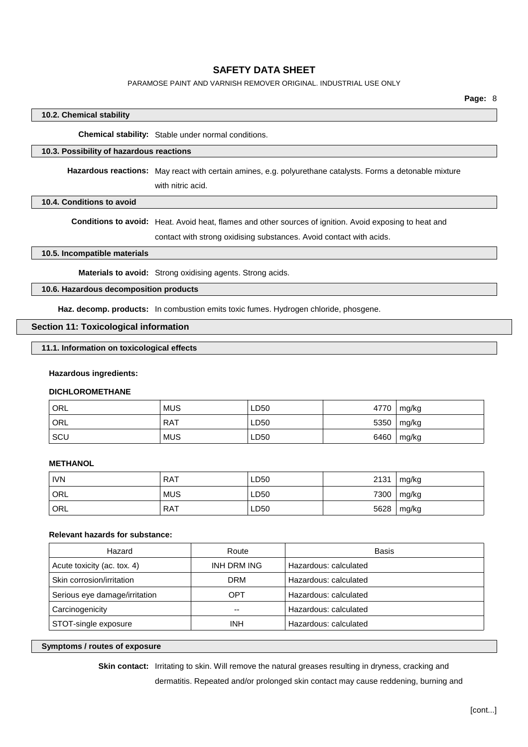PARAMOSE PAINT AND VARNISH REMOVER ORIGINAL. INDUSTRIAL USE ONLY

#### **10.2. Chemical stability**

**Chemical stability:** Stable under normal conditions.

#### **10.3. Possibility of hazardous reactions**

**Hazardous reactions:** May react with certain amines, e.g. polyurethane catalysts. Forms a detonable mixture with nitric acid.

#### **10.4. Conditions to avoid**

**Conditions to avoid:** Heat. Avoid heat, flames and other sources of ignition. Avoid exposing to heat and contact with strong oxidising substances. Avoid contact with acids.

**10.5. Incompatible materials**

**Materials to avoid:** Strong oxidising agents. Strong acids.

#### **10.6. Hazardous decomposition products**

**Haz. decomp. products:** In combustion emits toxic fumes. Hydrogen chloride, phosgene.

### **Section 11: Toxicological information**

#### **11.1. Information on toxicological effects**

#### **Hazardous ingredients:**

#### **DICHLOROMETHANE**

| ' ORL | <b>MUS</b> | LD50 | 4770 | mg/kg |
|-------|------------|------|------|-------|
| ' ORL | <b>RAT</b> | LD50 | 5350 | mg/kg |
| SCU   | <b>MUS</b> | LD50 | 6460 | mg/kg |

#### **METHANOL**

| <b>IVN</b> | <b>RAT</b> | LD50 | 2131 | mg/kg |
|------------|------------|------|------|-------|
| ' ORL      | <b>MUS</b> | LD50 | 7300 | mg/kg |
| ORL        | <b>RAT</b> | LD50 | 5628 | mg/kg |

#### **Relevant hazards for substance:**

| Hazard                        | Route       | Basis                 |
|-------------------------------|-------------|-----------------------|
| Acute toxicity (ac. tox. 4)   | INH DRM ING | Hazardous: calculated |
| Skin corrosion/irritation     | <b>DRM</b>  | Hazardous: calculated |
| Serious eye damage/irritation | OPT         | Hazardous: calculated |
| Carcinogenicity               | --          | Hazardous: calculated |
| STOT-single exposure          | <b>INH</b>  | Hazardous: calculated |

#### **Symptoms / routes of exposure**

**Skin contact:** Irritating to skin. Will remove the natural greases resulting in dryness, cracking and

dermatitis. Repeated and/or prolonged skin contact may cause reddening, burning and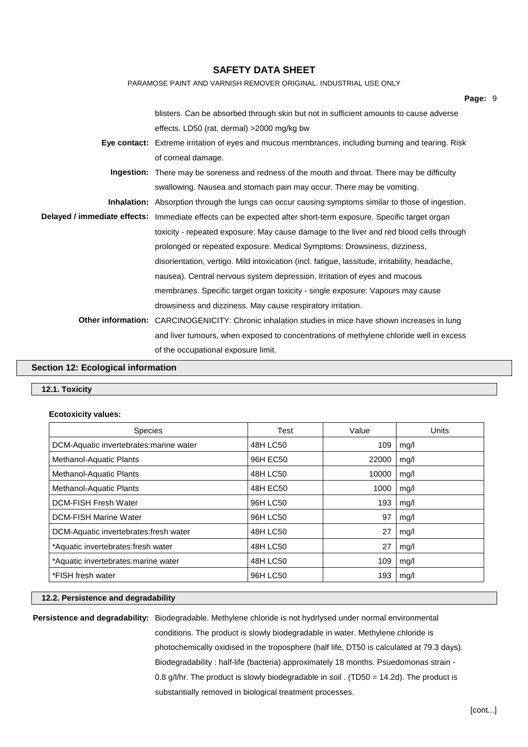| PARAMOSE PAINT AND VARNISH REMOVER ORIGINAL. INDUSTRIAL USE ONLY                                                |  |
|-----------------------------------------------------------------------------------------------------------------|--|
| Page: 9                                                                                                         |  |
| blisters. Can be absorbed through skin but not in sufficient amounts to cause adverse                           |  |
| effects. LD50 (rat, dermal) > 2000 mg/kg bw                                                                     |  |
| Eye contact: Extreme irritation of eyes and mucous membrances, including burning and tearing. Risk              |  |
| of corneal damage.                                                                                              |  |
| <b>Ingestion:</b> There may be soreness and redness of the mouth and throat. There may be difficulty            |  |
| swallowing. Nausea and stomach pain may occur. There may be vomiting.                                           |  |
| <b>Inhalation:</b> Absorption through the lungs can occur causing symptoms similar to those of ingestion.       |  |
| Delayed / immediate effects: Immediate effects can be expected after short-term exposure. Specific target organ |  |
| toxicity - repeated exposure: May cause damage to the liver and red blood cells through                         |  |
| prolonged or repeated exposure. Medical Symptoms: Drowsiness, dizziness,                                        |  |
| disorientation, vertigo. Mild intoxication (incl. fatigue, lassitude, irritability, headache,                   |  |
| nausea). Central nervous system depression. Irritation of eyes and mucous                                       |  |
| membranes. Specific target organ toxicity - single exposure: Vapours may cause                                  |  |
| drowsiness and dizziness. May cause respiratory irritation.                                                     |  |
| <b>Other information:</b> CARCINOGENICITY: Chronic inhalation studies in mice have shown increases in lung      |  |
| and liver tumours, when exposed to concentrations of methylene chloride well in excess                          |  |
| of the occupational exposure limit.                                                                             |  |
|                                                                                                                 |  |

### **Section 12: Ecological information**

## **12.1. Toxicity**

## **Ecotoxicity values:**

| <b>Species</b>                          | Test     | Value | Units |
|-----------------------------------------|----------|-------|-------|
| DCM-Aquatic invertebrates: marine water | 48H LC50 | 109   | mq/l  |
| Methanol-Aquatic Plants                 | 96H EC50 | 22000 | mg/l  |
| Methanol-Aquatic Plants                 | 48H LC50 | 10000 | mg/l  |
| Methanol-Aquatic Plants                 | 48H EC50 | 1000  | mg/l  |
| <b>DCM-FISH Fresh Water</b>             | 96H LC50 | 193   | mg/l  |
| <b>DCM-FISH Marine Water</b>            | 96H LC50 | 97    | mg/l  |
| DCM-Aquatic invertebrates: fresh water  | 48H LC50 | 27    | mg/l  |
| *Aquatic invertebrates:fresh water      | 48H LC50 | 27    | mg/l  |
| *Aquatic invertebrates: marine water    | 48H LC50 | 109   | mg/l  |
| *FISH fresh water                       | 96H LC50 | 193   | mq/l  |

## **12.2. Persistence and degradability**

**Persistence and degradability:** Biodegradable. Methylene chloride is not hydrlysed under normal environmental conditions. The product is slowly biodegradable in water. Methylene chloride is

photochemically oxidised in the troposphere (half life, DT50 is calculated at 79.3 days).

Biodegradability : half-life (bacteria) approximately 18 months. Psuedomonas strain -

0.8 g/l/hr. The product is slowly biodegradable in soil . (TD50 = 14.2d). The product is substantially removed in biological treatment processes.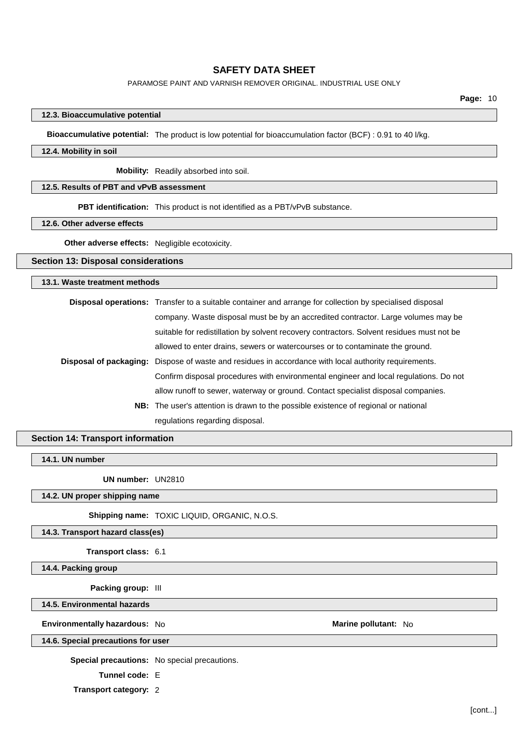#### PARAMOSE PAINT AND VARNISH REMOVER ORIGINAL. INDUSTRIAL USE ONLY

**Page:** 10

#### **12.3. Bioaccumulative potential**

**Bioaccumulative potential:** The product is low potential for bioaccumulation factor (BCF) : 0.91 to 40 l/kg.

#### **12.4. Mobility in soil**

**Mobility:** Readily absorbed into soil.

## **12.5. Results of PBT and vPvB assessment**

**PBT identification:** This product is not identified as a PBT/vPvB substance.

#### **12.6. Other adverse effects**

**Other adverse effects:** Negligible ecotoxicity.

#### **Section 13: Disposal considerations**

#### **13.1. Waste treatment methods**

| <b>Disposal operations:</b> Transfer to a suitable container and arrange for collection by specialised disposal |  |
|-----------------------------------------------------------------------------------------------------------------|--|
| company. Waste disposal must be by an accredited contractor. Large volumes may be                               |  |
| suitable for redistillation by solvent recovery contractors. Solvent residues must not be                       |  |
| allowed to enter drains, sewers or watercourses or to contaminate the ground.                                   |  |
| <b>Disposal of packaging:</b> Dispose of waste and residues in accordance with local authority requirements.    |  |
| Confirm disposal procedures with environmental engineer and local regulations. Do not                           |  |
| allow runoff to sewer, waterway or ground. Contact specialist disposal companies.                               |  |
| <b>NB:</b> The user's attention is drawn to the possible existence of regional or national                      |  |
| regulations regarding disposal.                                                                                 |  |

### **Section 14: Transport information**

### **14.1. UN number**

**UN number:** UN2810

**14.2. UN proper shipping name**

**Shipping name:** TOXIC LIQUID, ORGANIC, N.O.S.

#### **14.3. Transport hazard class(es)**

**Transport class:** 6.1

## **14.4. Packing group**

**Packing group:** III

**14.5. Environmental hazards**

**Environmentally hazardous:** No **Marine Marine Marine Marine Marine Marine Marine Marine Marine Marine** 

### **14.6. Special precautions for user**

**Special precautions:** No special precautions.

**Tunnel code:** E

**Transport category:** 2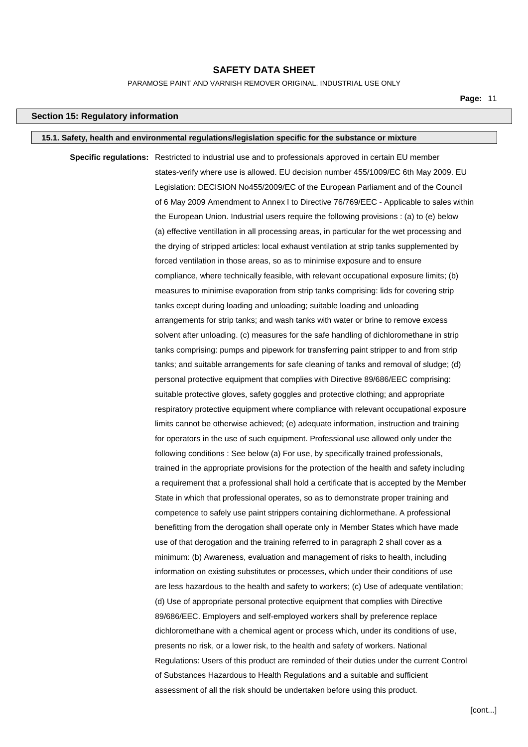PARAMOSE PAINT AND VARNISH REMOVER ORIGINAL. INDUSTRIAL USE ONLY

**Page:** 11

#### **Section 15: Regulatory information**

#### **15.1. Safety, health and environmental regulations/legislation specific for the substance or mixture**

**Specific regulations:** Restricted to industrial use and to professionals approved in certain EU member states-verify where use is allowed. EU decision number 455/1009/EC 6th May 2009. EU Legislation: DECISION No455/2009/EC of the European Parliament and of the Council of 6 May 2009 Amendment to Annex I to Directive 76/769/EEC - Applicable to sales within the European Union. Industrial users require the following provisions : (a) to (e) below (a) effective ventillation in all processing areas, in particular for the wet processing and the drying of stripped articles: local exhaust ventilation at strip tanks supplemented by forced ventilation in those areas, so as to minimise exposure and to ensure compliance, where technically feasible, with relevant occupational exposure limits; (b) measures to minimise evaporation from strip tanks comprising: lids for covering strip tanks except during loading and unloading; suitable loading and unloading arrangements for strip tanks; and wash tanks with water or brine to remove excess solvent after unloading. (c) measures for the safe handling of dichloromethane in strip tanks comprising: pumps and pipework for transferring paint stripper to and from strip tanks; and suitable arrangements for safe cleaning of tanks and removal of sludge; (d) personal protective equipment that complies with Directive 89/686/EEC comprising: suitable protective gloves, safety goggles and protective clothing; and appropriate respiratory protective equipment where compliance with relevant occupational exposure limits cannot be otherwise achieved; (e) adequate information, instruction and training for operators in the use of such equipment. Professional use allowed only under the following conditions : See below (a) For use, by specifically trained professionals, trained in the appropriate provisions for the protection of the health and safety including a requirement that a professional shall hold a certificate that is accepted by the Member State in which that professional operates, so as to demonstrate proper training and competence to safely use paint strippers containing dichlormethane. A professional benefitting from the derogation shall operate only in Member States which have made use of that derogation and the training referred to in paragraph 2 shall cover as a minimum: (b) Awareness, evaluation and management of risks to health, including information on existing substitutes or processes, which under their conditions of use are less hazardous to the health and safety to workers; (c) Use of adequate ventilation; (d) Use of appropriate personal protective equipment that complies with Directive 89/686/EEC. Employers and self-employed workers shall by preference replace dichloromethane with a chemical agent or process which, under its conditions of use, presents no risk, or a lower risk, to the health and safety of workers. National Regulations: Users of this product are reminded of their duties under the current Control of Substances Hazardous to Health Regulations and a suitable and sufficient assessment of all the risk should be undertaken before using this product.